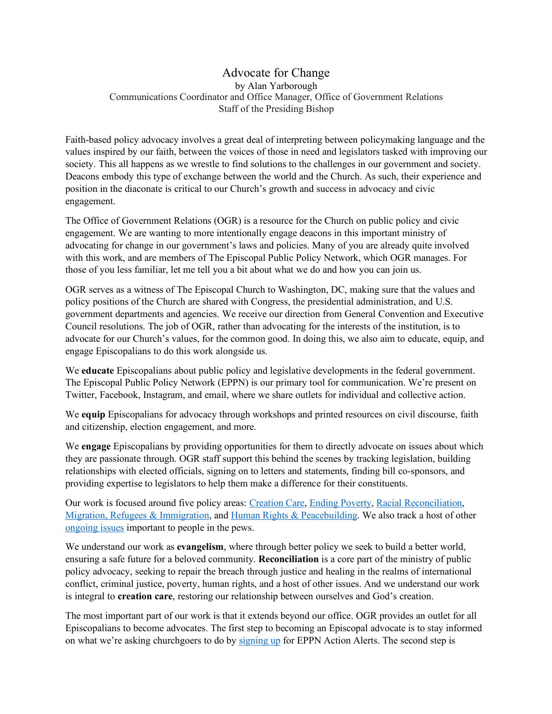## Advocate for Change by Alan Yarborough Communications Coordinator and Office Manager, Office of Government Relations Staff of the Presiding Bishop

Faith-based policy advocacy involves a great deal of interpreting between policymaking language and the values inspired by our faith, between the voices of those in need and legislators tasked with improving our society. This all happens as we wrestle to find solutions to the challenges in our government and society. Deacons embody this type of exchange between the world and the Church. As such, their experience and position in the diaconate is critical to our Church's growth and success in advocacy and civic engagement.

The Office of Government Relations (OGR) is a resource for the Church on public policy and civic engagement. We are wanting to more intentionally engage deacons in this important ministry of advocating for change in our government's laws and policies. Many of you are already quite involved with this work, and are members of The Episcopal Public Policy Network, which OGR manages. For those of you less familiar, let me tell you a bit about what we do and how you can join us.

OGR serves as a witness of The Episcopal Church to Washington, DC, making sure that the values and policy positions of the Church are shared with Congress, the presidential administration, and U.S. government departments and agencies. We receive our direction from General Convention and Executive Council resolutions. The job of OGR, rather than advocating for the interests of the institution, is to advocate for our Church's values, for the common good. In doing this, we also aim to educate, equip, and engage Episcopalians to do this work alongside us.

We **educate** Episcopalians about public policy and legislative developments in the federal government. The Episcopal Public Policy Network (EPPN) is our primary tool for communication. We're present on Twitter, Facebook, Instagram, and email, where we share outlets for individual and collective action.

We **equip** Episcopalians for advocacy through workshops and printed resources on civil discourse, faith and citizenship, election engagement, and more.

We **engage** Episcopalians by providing opportunities for them to directly advocate on issues about which they are passionate through. OGR staff support this behind the scenes by tracking legislation, building relationships with elected officials, signing on to letters and statements, finding bill co-sponsors, and providing expertise to legislators to help them make a difference for their constituents.

Our work is focused around five policy areas: Creation Care, Ending Poverty, Racial Reconciliation, Migration, Refugees & Immigration, and Human Rights & Peacebuilding. We also track a host of other ongoing issues important to people in the pews.

We understand our work as **evangelism**, where through better policy we seek to build a better world, ensuring a safe future for a beloved community. **Reconciliation** is a core part of the ministry of public policy advocacy, seeking to repair the breach through justice and healing in the realms of international conflict, criminal justice, poverty, human rights, and a host of other issues. And we understand our work is integral to **creation care**, restoring our relationship between ourselves and God's creation.

The most important part of our work is that it extends beyond our office. OGR provides an outlet for all Episcopalians to become advocates. The first step to becoming an Episcopal advocate is to stay informed on what we're asking churchgoers to do by signing up for EPPN Action Alerts. The second step is